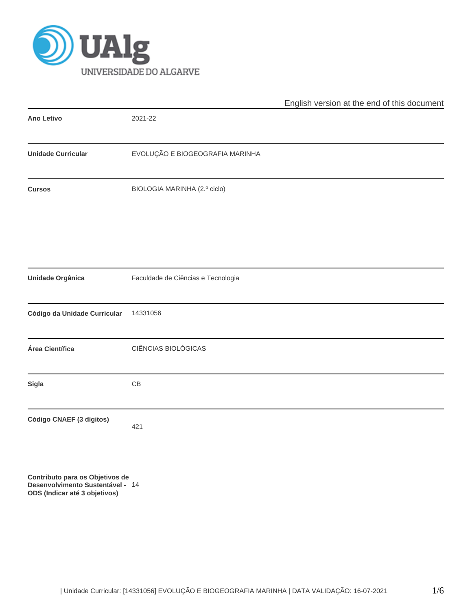

|                              |                                    | English version at the end of this document |  |  |  |  |  |
|------------------------------|------------------------------------|---------------------------------------------|--|--|--|--|--|
| Ano Letivo                   | 2021-22                            |                                             |  |  |  |  |  |
| <b>Unidade Curricular</b>    | EVOLUÇÃO E BIOGEOGRAFIA MARINHA    |                                             |  |  |  |  |  |
| <b>Cursos</b>                | BIOLOGIA MARINHA (2.º ciclo)       |                                             |  |  |  |  |  |
|                              |                                    |                                             |  |  |  |  |  |
| Unidade Orgânica             | Faculdade de Ciências e Tecnologia |                                             |  |  |  |  |  |
| Código da Unidade Curricular | 14331056                           |                                             |  |  |  |  |  |
| Área Científica              | CIÊNCIAS BIOLÓGICAS                |                                             |  |  |  |  |  |
| Sigla                        | $\mathsf{CB}$                      |                                             |  |  |  |  |  |
| Código CNAEF (3 dígitos)     | 421                                |                                             |  |  |  |  |  |
|                              |                                    |                                             |  |  |  |  |  |

**Contributo para os Objetivos de Desenvolvimento Sustentável - ODS (Indicar até 3 objetivos)** 14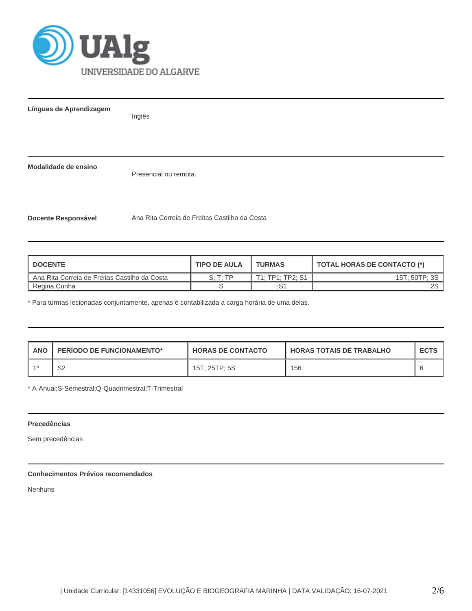

**Línguas de Aprendizagem**

Inglês

**Modalidade de ensino**

Presencial ou remota.

**Docente Responsável** Ana Rita Correia de Freitas Castilho da Costa

| <b>DOCENTE</b>                                | <b>TIPO DE AULA</b> | <b>TURMAS</b>    | TOTAL HORAS DE CONTACTO (*) |
|-----------------------------------------------|---------------------|------------------|-----------------------------|
| Ana Rita Correia de Freitas Castilho da Costa | S: T: TP            | T1: TP1: TP2: S1 | 15T; 50TP; 3S               |
| Regina Cunha                                  |                     | :S1              | 2S l                        |

\* Para turmas lecionadas conjuntamente, apenas é contabilizada a carga horária de uma delas.

| <b>ANO</b> | <b>PERIODO DE FUNCIONAMENTO*</b> | <b>HORAS DE CONTACTO</b> | <b>I HORAS TOTAIS DE TRABALHO</b> | <b>ECTS</b> |  |
|------------|----------------------------------|--------------------------|-----------------------------------|-------------|--|
|            | S2                               | 15T: 25TP: 5S            | 156                               |             |  |

\* A-Anual;S-Semestral;Q-Quadrimestral;T-Trimestral

# **Precedências**

Sem precedências

# **Conhecimentos Prévios recomendados**

Nenhuns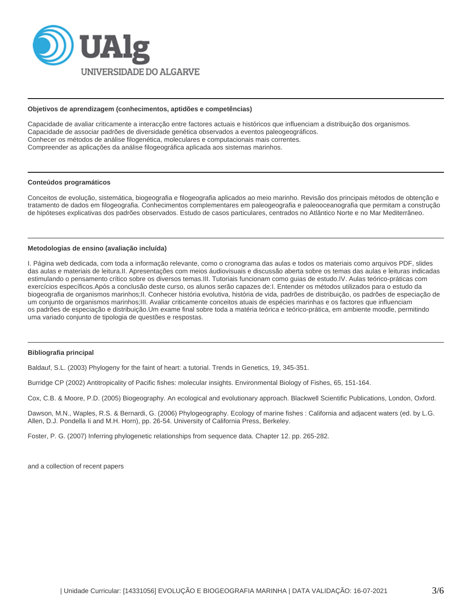

#### **Objetivos de aprendizagem (conhecimentos, aptidões e competências)**

Capacidade de avaliar criticamente a interacção entre factores actuais e históricos que influenciam a distribuição dos organismos. Capacidade de associar padrões de diversidade genética observados a eventos paleogeográficos. Conhecer os métodos de análise filogenética, moleculares e computacionais mais correntes. Compreender as aplicações da análise filogeográfica aplicada aos sistemas marinhos.

### **Conteúdos programáticos**

Conceitos de evolução, sistemática, biogeografia e filogeografia aplicados ao meio marinho. Revisão dos principais métodos de obtenção e tratamento de dados em filogeografia. Conhecimentos complementares em paleogeografia e paleooceanografia que permitam a construção de hipóteses explicativas dos padrões observados. Estudo de casos particulares, centrados no Atlântico Norte e no Mar Mediterrâneo.

#### **Metodologias de ensino (avaliação incluída)**

I. Página web dedicada, com toda a informação relevante, como o cronograma das aulas e todos os materiais como arquivos PDF, slides das aulas e materiais de leitura.II. Apresentações com meios áudiovisuais e discussão aberta sobre os temas das aulas e leituras indicadas estimulando o pensamento crítico sobre os diversos temas.III. Tutoriais funcionam como guias de estudo.IV. Aulas teórico-práticas com exercícios específicos.Após a conclusão deste curso, os alunos serão capazes de:I. Entender os métodos utilizados para o estudo da biogeografia de organismos marinhos;II. Conhecer história evolutiva, história de vida, padrões de distribuição, os padrões de especiação de um conjunto de organismos marinhos;III. Avaliar criticamente conceitos atuais de espécies marinhas e os factores que influenciam os padrões de especiação e distribuição.Um exame final sobre toda a matéria teórica e teórico-prática, em ambiente moodle, permitindo uma variado conjunto de tipologia de questões e respostas.

# **Bibliografia principal**

Baldauf, S.L. (2003) Phylogeny for the faint of heart: a tutorial. Trends in Genetics, 19, 345-351.

Burridge CP (2002) Antitropicality of Pacific fishes: molecular insights. Environmental Biology of Fishes, 65, 151-164.

Cox, C.B. & Moore, P.D. (2005) Biogeography. An ecological and evolutionary approach. Blackwell Scientific Publications, London, Oxford.

Dawson, M.N., Waples, R.S. & Bernardi, G. (2006) Phylogeography. Ecology of marine fishes : California and adjacent waters (ed. by L.G. Allen, D.J. Pondella Ii and M.H. Horn), pp. 26-54. University of California Press, Berkeley.

Foster, P. G. (2007) Inferring phylogenetic relationships from sequence data. Chapter 12. pp. 265-282.

and a collection of recent papers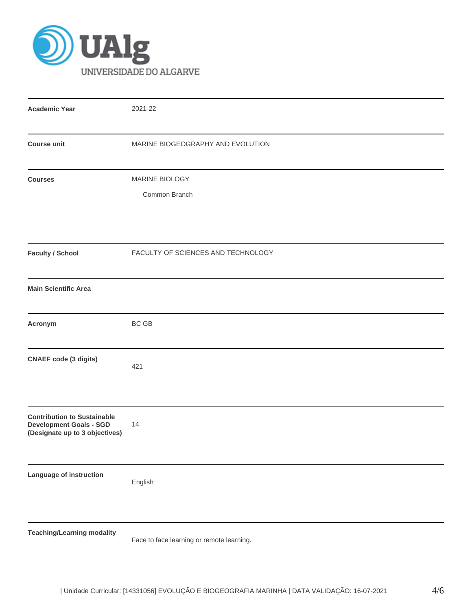

| <b>Academic Year</b>                                                                                   | 2021-22                                   |  |  |  |  |  |  |  |
|--------------------------------------------------------------------------------------------------------|-------------------------------------------|--|--|--|--|--|--|--|
| <b>Course unit</b>                                                                                     | MARINE BIOGEOGRAPHY AND EVOLUTION         |  |  |  |  |  |  |  |
| <b>Courses</b>                                                                                         | MARINE BIOLOGY<br>Common Branch           |  |  |  |  |  |  |  |
| <b>Faculty / School</b>                                                                                | FACULTY OF SCIENCES AND TECHNOLOGY        |  |  |  |  |  |  |  |
| <b>Main Scientific Area</b>                                                                            |                                           |  |  |  |  |  |  |  |
| Acronym                                                                                                | BC GB                                     |  |  |  |  |  |  |  |
| <b>CNAEF code (3 digits)</b>                                                                           | 421                                       |  |  |  |  |  |  |  |
| <b>Contribution to Sustainable</b><br><b>Development Goals - SGD</b><br>(Designate up to 3 objectives) | 14                                        |  |  |  |  |  |  |  |
| Language of instruction                                                                                | English                                   |  |  |  |  |  |  |  |
| <b>Teaching/Learning modality</b>                                                                      | Face to face learning or remote learning. |  |  |  |  |  |  |  |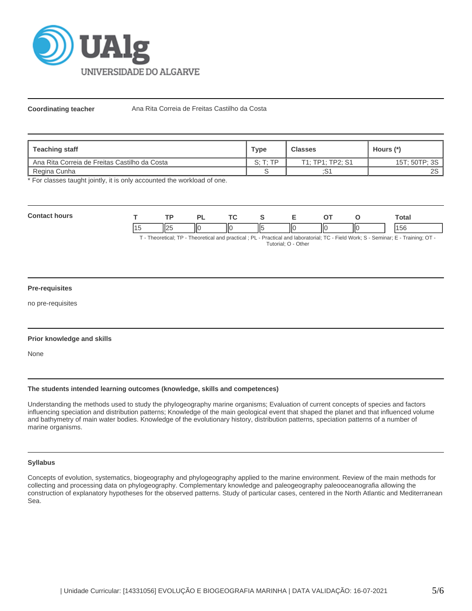

Coordinating teacher **Ana Rita Correia de Freitas Castilho da Costa** 

| <b>Teaching staff</b>                         | Type     | <b>Classes</b>   | Hours (*)       |
|-----------------------------------------------|----------|------------------|-----------------|
| Ana Rita Correia de Freitas Castilho da Costa | S: T: TP | T1: TP1: TP2: S1 | 15T; 50TP; 3S   |
| Regina Cunha                                  |          | :S1              | 2S <sub>1</sub> |

\* For classes taught jointly, it is only accounted the workload of one.

| <b>Contac</b><br>hours<br>. |  |                     | וכו                     | T. |    |    | $\sim$ $\sim$ |    |  | <b>Total</b>            |
|-----------------------------|--|---------------------|-------------------------|----|----|----|---------------|----|--|-------------------------|
|                             |  | $\mathsf{In}$<br>Ⅱ∠ | $\overline{\mathsf{1}}$ | IЮ | Ш5 | ПC | НΟ            | ПС |  | 14E <sub>C</sub><br>່ວເ |

T - Theoretical; TP - Theoretical and practical ; PL - Practical and laboratorial; TC - Field Work; S - Seminar; E - Training; OT - Tutorial; O - Other

# **Pre-requisites**

no pre-requisites

# **Prior knowledge and skills**

None

# **The students intended learning outcomes (knowledge, skills and competences)**

Understanding the methods used to study the phylogeography marine organisms; Evaluation of current concepts of species and factors influencing speciation and distribution patterns; Knowledge of the main geological event that shaped the planet and that influenced volume and bathymetry of main water bodies. Knowledge of the evolutionary history, distribution patterns, speciation patterns of a number of marine organisms.

#### **Syllabus**

Concepts of evolution, systematics, biogeography and phylogeography applied to the marine environment. Review of the main methods for collecting and processing data on phylogeography. Complementary knowledge and paleogeography paleooceanografia allowing the construction of explanatory hypotheses for the observed patterns. Study of particular cases, centered in the North Atlantic and Mediterranean Sea.